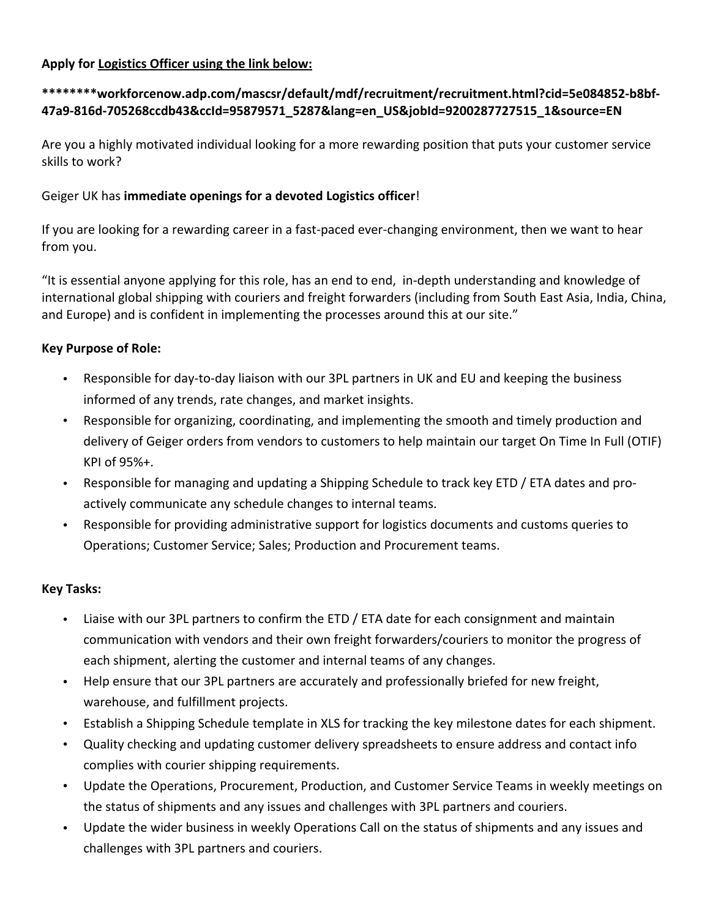### **Apply for Logistics Officer using the link below:**

# **\*\*\*\*\*\*\*\*workforcenow.adp.com/mascsr/default/mdf/recruitment/recruitment.html?cid=5e084852‐b8bf‐ 47a9‐816d‐705268ccdb43&ccId=95879571\_5287&lang=en\_US&jobId=9200287727515\_1&source=EN**

Are you a highly motivated individual looking for a more rewarding position that puts your customer service skills to work?

#### Geiger UK has **immediate openings for a devoted Logistics officer**!

If you are looking for a rewarding career in a fast-paced ever-changing environment, then we want to hear from you.

"It is essential anyone applying for this role, has an end to end, in‐depth understanding and knowledge of international global shipping with couriers and freight forwarders (including from South East Asia, India, China, and Europe) and is confident in implementing the processes around this at our site."

### **Key Purpose of Role:**

- Responsible for day‐to‐day liaison with our 3PL partners in UK and EU and keeping the business informed of any trends, rate changes, and market insights.
- Responsible for organizing, coordinating, and implementing the smooth and timely production and delivery of Geiger orders from vendors to customers to help maintain our target On Time In Full (OTIF) KPI of 95%+.
- Responsible for managing and updating a Shipping Schedule to track key ETD / ETA dates and pro‐ actively communicate any schedule changes to internal teams.
- Responsible for providing administrative support for logistics documents and customs queries to Operations; Customer Service; Sales; Production and Procurement teams.

# **Key Tasks:**

- Liaise with our 3PL partners to confirm the ETD / ETA date for each consignment and maintain communication with vendors and their own freight forwarders/couriers to monitor the progress of each shipment, alerting the customer and internal teams of any changes.
- Help ensure that our 3PL partners are accurately and professionally briefed for new freight, warehouse, and fulfillment projects.
- Establish a Shipping Schedule template in XLS for tracking the key milestone dates for each shipment.
- Quality checking and updating customer delivery spreadsheets to ensure address and contact info complies with courier shipping requirements.
- Update the Operations, Procurement, Production, and Customer Service Teams in weekly meetings on the status of shipments and any issues and challenges with 3PL partners and couriers.
- Update the wider business in weekly Operations Call on the status of shipments and any issues and challenges with 3PL partners and couriers.